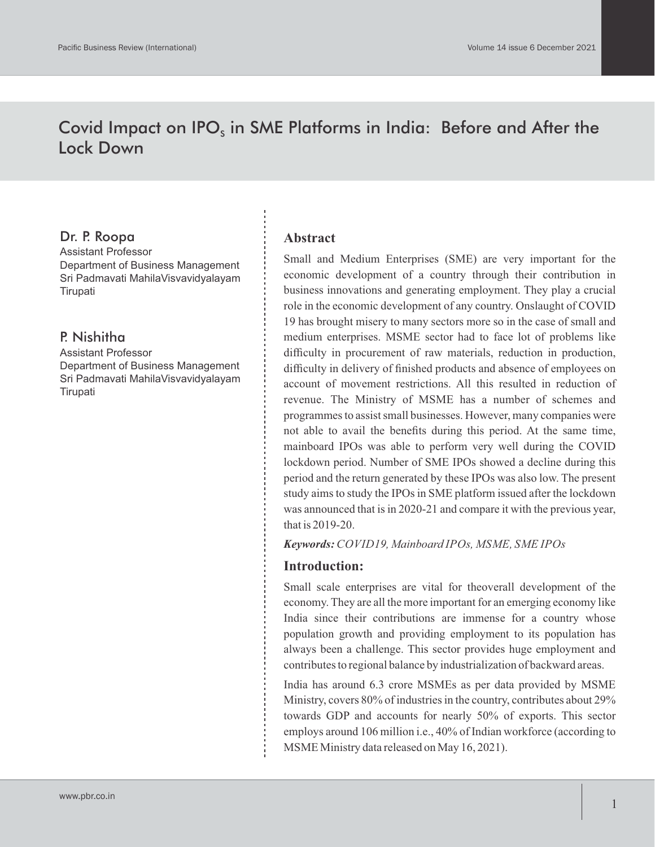# Covid Impact on IPO<sub>s</sub> in SME Platforms in India: Before and After the Lock Down

### Dr. P. Roopa

Assistant Professor Department of Business Management Sri Padmavati MahilaVisvavidyalayam **Tirupati** 

### P. Nishitha

Assistant Professor Department of Business Management Sri Padmavati MahilaVisvavidyalayam **Tirupati** 

#### **Abstract**

Small and Medium Enterprises (SME) are very important for the economic development of a country through their contribution in business innovations and generating employment. They play a crucial role in the economic development of any country. Onslaught of COVID 19 has brought misery to many sectors more so in the case of small and medium enterprises. MSME sector had to face lot of problems like difficulty in procurement of raw materials, reduction in production, difficulty in delivery of finished products and absence of employees on account of movement restrictions. All this resulted in reduction of revenue. The Ministry of MSME has a number of schemes and programmes to assist small businesses. However, many companies were not able to avail the benefits during this period. At the same time, mainboard IPOs was able to perform very well during the COVID lockdown period. Number of SME IPOs showed a decline during this period and the return generated by these IPOs was also low. The present study aims to study the IPOs in SME platform issued after the lockdown was announced that is in 2020-21 and compare it with the previous year, that is 2019-20.

*Keywords: COVID19, Mainboard IPOs, MSME, SME IPOs*

#### **Introduction:**

Small scale enterprises are vital for theoverall development of the economy. They are all the more important for an emerging economy like India since their contributions are immense for a country whose population growth and providing employment to its population has always been a challenge. This sector provides huge employment and contributes to regional balance by industrialization of backward areas.

India has around 6.3 crore MSMEs as per data provided by MSME Ministry, covers 80% of industries in the country, contributes about 29% towards GDP and accounts for nearly 50% of exports. This sector employs around 106 million i.e., 40% of Indian workforce (according to MSME Ministry data released on May 16, 2021).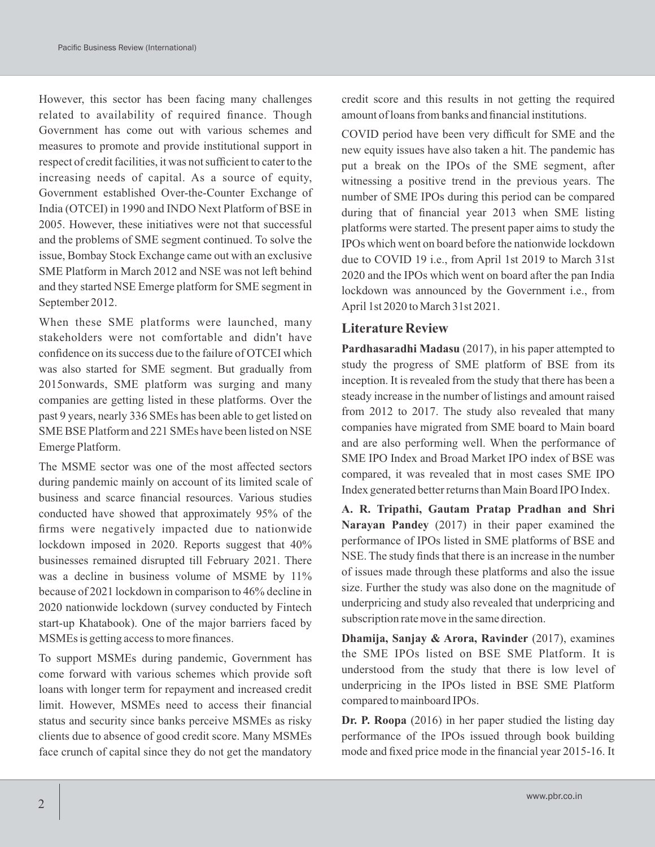However, this sector has been facing many challenges related to availability of required finance. Though Government has come out with various schemes and measures to promote and provide institutional support in respect of credit facilities, it was not sufficient to cater to the increasing needs of capital. As a source of equity, Government established Over-the-Counter Exchange of India (OTCEI) in 1990 and INDO Next Platform of BSE in 2005. However, these initiatives were not that successful and the problems of SME segment continued. To solve the issue, Bombay Stock Exchange came out with an exclusive SME Platform in March 2012 and NSE was not left behind and they started NSE Emerge platform for SME segment in September 2012.

When these SME platforms were launched, many stakeholders were not comfortable and didn't have confidence on its success due to the failure of OTCEI which was also started for SME segment. But gradually from 2015onwards, SME platform was surging and many companies are getting listed in these platforms. Over the past 9 years, nearly 336 SMEs has been able to get listed on SME BSE Platform and 221 SMEs have been listed on NSE Emerge Platform.

The MSME sector was one of the most affected sectors during pandemic mainly on account of its limited scale of business and scarce financial resources. Various studies conducted have showed that approximately 95% of the firms were negatively impacted due to nationwide lockdown imposed in 2020. Reports suggest that 40% businesses remained disrupted till February 2021. There was a decline in business volume of MSME by  $11\%$ because of 2021 lockdown in comparison to 46% decline in 2020 nationwide lockdown (survey conducted by Fintech start-up Khatabook). One of the major barriers faced by MSMEs is getting access to more finances.

To support MSMEs during pandemic, Government has come forward with various schemes which provide soft loans with longer term for repayment and increased credit limit. However, MSMEs need to access their financial status and security since banks perceive MSMEs as risky clients due to absence of good credit score. Many MSMEs face crunch of capital since they do not get the mandatory

credit score and this results in not getting the required amount of loans from banks and financial institutions.

COVID period have been very difficult for SME and the new equity issues have also taken a hit. The pandemic has put a break on the IPOs of the SME segment, after witnessing a positive trend in the previous years. The number of SME IPOs during this period can be compared during that of financial year 2013 when SME listing platforms were started. The present paper aims to study the IPOs which went on board before the nationwide lockdown due to COVID 19 i.e., from April 1st 2019 to March 31st 2020 and the IPOs which went on board after the pan India lockdown was announced by the Government i.e., from April 1st 2020 to March 31st 2021.

### **Literature Review**

**Pardhasaradhi Madasu** (2017), in his paper attempted to study the progress of SME platform of BSE from its inception. It is revealed from the study that there has been a steady increase in the number of listings and amount raised from 2012 to 2017. The study also revealed that many companies have migrated from SME board to Main board and are also performing well. When the performance of SME IPO Index and Broad Market IPO index of BSE was compared, it was revealed that in most cases SME IPO Index generated better returns than Main Board IPO Index.

**A. R. Tripathi, Gautam Pratap Pradhan and Shri Narayan Pandey** (2017) in their paper examined the performance of IPOs listed in SME platforms of BSE and NSE. The study finds that there is an increase in the number of issues made through these platforms and also the issue size. Further the study was also done on the magnitude of underpricing and study also revealed that underpricing and subscription rate move in the same direction.

**Dhamija, Sanjay & Arora, Ravinder** (2017), examines the SME IPOs listed on BSE SME Platform. It is understood from the study that there is low level of underpricing in the IPOs listed in BSE SME Platform compared to mainboard IPOs.

**Dr. P. Roopa** (2016) in her paper studied the listing day performance of the IPOs issued through book building mode and fixed price mode in the financial year 2015-16. It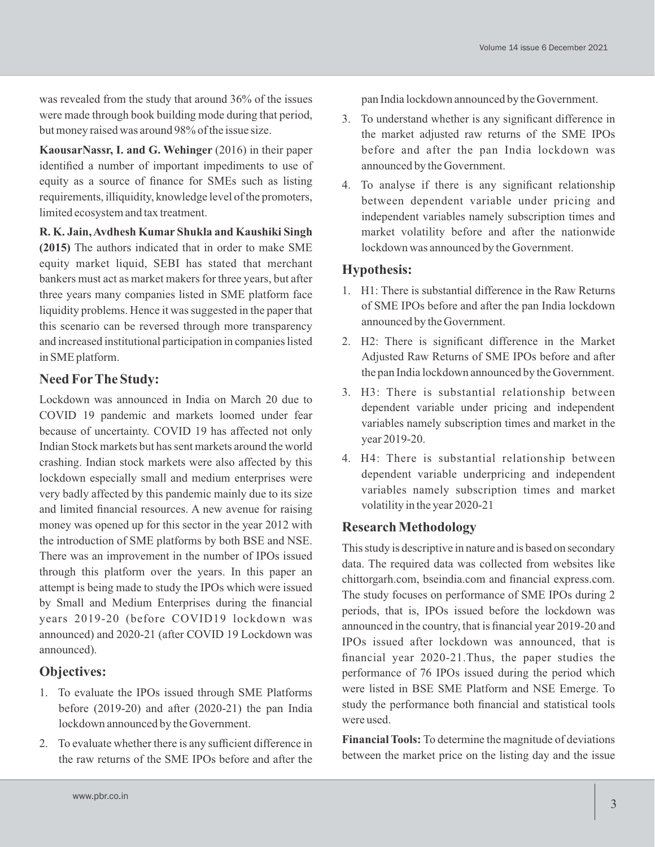was revealed from the study that around 36% of the issues were made through book building mode during that period, but money raised was around 98% of the issue size.

**KaousarNassr, I. and G. Wehinger** (2016) in their paper identified a number of important impediments to use of equity as a source of finance for SMEs such as listing requirements, illiquidity, knowledge level of the promoters, limited ecosystem and tax treatment.

**R. K. Jain, Avdhesh Kumar Shukla and Kaushiki Singh (2015)** The authors indicated that in order to make SME equity market liquid, SEBI has stated that merchant bankers must act as market makers for three years, but after three years many companies listed in SME platform face liquidity problems. Hence it was suggested in the paper that this scenario can be reversed through more transparency and increased institutional participation in companies listed in SME platform.

## **Need ForThe Study:**

Lockdown was announced in India on March 20 due to COVID 19 pandemic and markets loomed under fear because of uncertainty. COVID 19 has affected not only Indian Stock markets but has sent markets around the world crashing. Indian stock markets were also affected by this lockdown especially small and medium enterprises were very badly affected by this pandemic mainly due to its size and limited financial resources. A new avenue for raising money was opened up for this sector in the year 2012 with the introduction of SME platforms by both BSE and NSE. There was an improvement in the number of IPOs issued through this platform over the years. In this paper an attempt is being made to study the IPOs which were issued by Small and Medium Enterprises during the financial years 2019-20 (before COVID19 lockdown was announced) and 2020-21 (after COVID 19 Lockdown was announced).

## **Objectives:**

- 1. To evaluate the IPOs issued through SME Platforms before (2019-20) and after (2020-21) the pan India lockdown announced by the Government.
- 2. To evaluate whether there is any sufficient difference in the raw returns of the SME IPOs before and after the

pan India lockdown announced by the Government.

- 3. To understand whether is any significant difference in the market adjusted raw returns of the SME IPOs before and after the pan India lockdown was announced by the Government.
- 4. To analyse if there is any significant relationship between dependent variable under pricing and independent variables namely subscription times and market volatility before and after the nationwide lockdown was announced by the Government.

## **Hypothesis:**

- 1. H1: There is substantial difference in the Raw Returns of SME IPOs before and after the pan India lockdown announced by the Government.
- 2. H2: There is significant difference in the Market Adjusted Raw Returns of SME IPOs before and after the pan India lockdown announced by the Government.
- 3. H3: There is substantial relationship between dependent variable under pricing and independent variables namely subscription times and market in the year 2019-20.
- 4. H4: There is substantial relationship between dependent variable underpricing and independent variables namely subscription times and market volatility in the year 2020-21

## **Research Methodology**

This study is descriptive in nature and is based on secondary data. The required data was collected from websites like chittorgarh.com, bseindia.com and financial express.com. The study focuses on performance of SME IPOs during 2 periods, that is, IPOs issued before the lockdown was announced in the country, that is financial year 2019-20 and IPOs issued after lockdown was announced, that is financial year 2020-21.Thus, the paper studies the performance of 76 IPOs issued during the period which were listed in BSE SME Platform and NSE Emerge. To study the performance both financial and statistical tools were used.

**Financial Tools:** To determine the magnitude of deviations between the market price on the listing day and the issue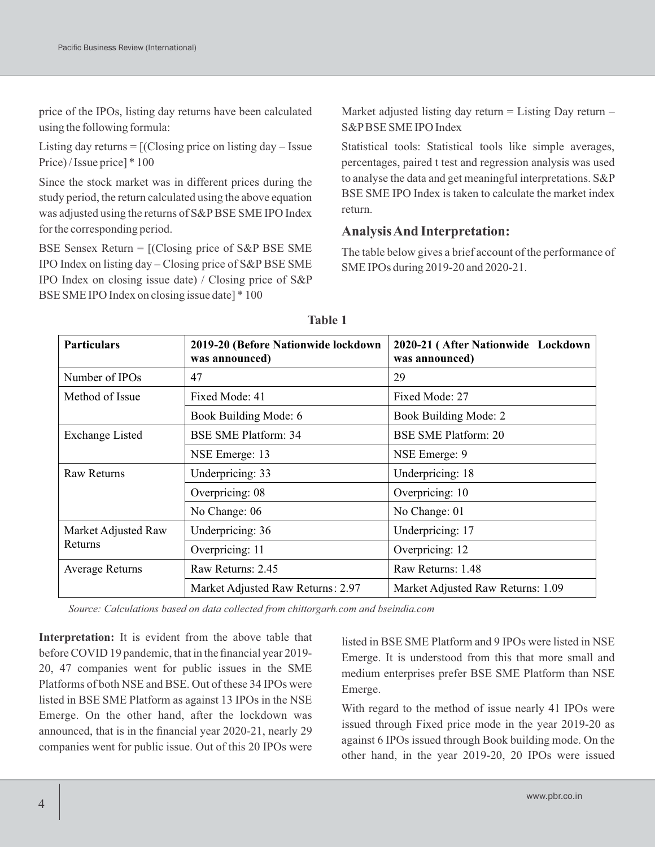price of the IPOs, listing day returns have been calculated using the following formula:

Listing day returns  $=$  [(Closing price on listing day  $-$  Issue Price) / Issue price] \* 100

Since the stock market was in different prices during the study period, the return calculated using the above equation was adjusted using the returns of S&PBSE SME IPO Index for the corresponding period.

BSE Sensex Return = [(Closing price of S&P BSE SME IPO Index on listing day – Closing price of S&PBSE SME IPO Index on closing issue date) / Closing price of S&P BSE SME IPO Index on closing issue date] \* 100

Market adjusted listing day return  $=$  Listing Day return  $-$ S&PBSE SME IPO Index

Statistical tools: Statistical tools like simple averages, percentages, paired t test and regression analysis was used to analyse the data and get meaningful interpretations. S&P BSE SME IPO Index is taken to calculate the market index return.

### **Analysis And Interpretation:**

The table below gives a brief account of the performance of SME IPOs during 2019-20 and 2020-21.

| <b>Particulars</b>     | 2019-20 (Before Nationwide lockdown<br>was announced) | 2020-21 (After Nationwide Lockdown<br>was announced) |  |  |
|------------------------|-------------------------------------------------------|------------------------------------------------------|--|--|
| Number of IPOs         | 47                                                    | 29                                                   |  |  |
| Method of Issue        | Fixed Mode: 41                                        | Fixed Mode: 27                                       |  |  |
|                        | Book Building Mode: 6                                 | Book Building Mode: 2                                |  |  |
| <b>Exchange Listed</b> | <b>BSE SME Platform: 34</b>                           | <b>BSE SME Platform: 20</b>                          |  |  |
|                        | NSE Emerge: 13                                        | NSE Emerge: 9                                        |  |  |
| <b>Raw Returns</b>     | Underpricing: 33                                      | Underpricing: 18                                     |  |  |
|                        | Overpricing: 08                                       | Overpricing: 10                                      |  |  |
|                        | No Change: 06                                         | No Change: 01                                        |  |  |
| Market Adjusted Raw    | Underpricing: 36                                      | Underpricing: 17                                     |  |  |
| <b>Returns</b>         | Overpricing: 11                                       | Overpricing: 12                                      |  |  |
| <b>Average Returns</b> | Raw Returns: 2.45                                     | Raw Returns: 1.48                                    |  |  |
|                        | Market Adjusted Raw Returns: 2.97                     | Market Adjusted Raw Returns: 1.09                    |  |  |

*Source: Calculations based on data collected from chittorgarh.com and bseindia.com*

**Interpretation:** It is evident from the above table that before COVID 19 pandemic, that in the financial year 2019- 20, 47 companies went for public issues in the SME Platforms of both NSE and BSE. Out of these 34 IPOs were listed in BSE SME Platform as against 13 IPOs in the NSE Emerge. On the other hand, after the lockdown was announced, that is in the financial year 2020-21, nearly 29 companies went for public issue. Out of this 20 IPOs were

listed in BSE SME Platform and 9 IPOs were listed in NSE Emerge. It is understood from this that more small and medium enterprises prefer BSE SME Platform than NSE Emerge.

With regard to the method of issue nearly 41 IPOs were issued through Fixed price mode in the year 2019-20 as against 6 IPOs issued through Book building mode. On the other hand, in the year 2019-20, 20 IPOs were issued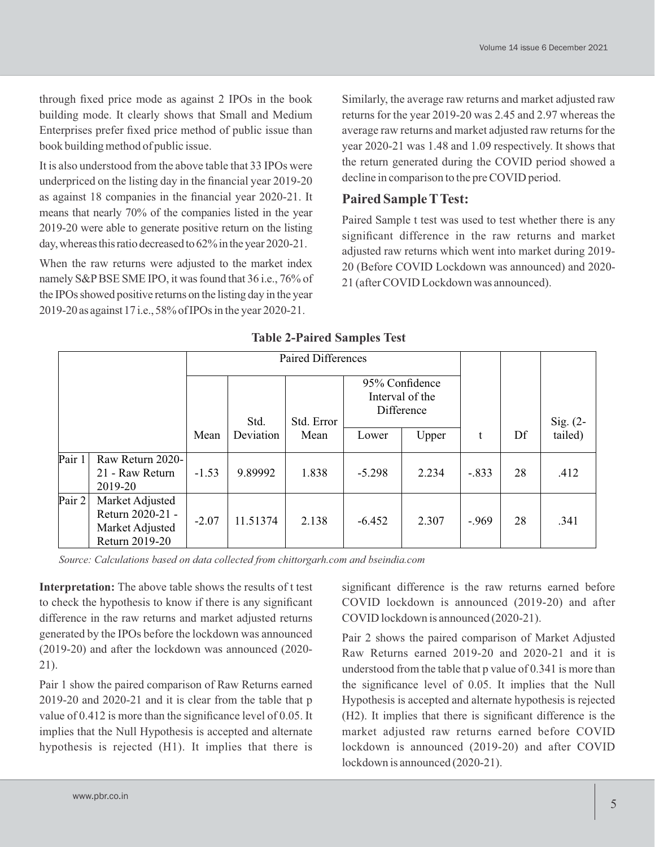through fixed price mode as against 2 IPOs in the book building mode. It clearly shows that Small and Medium Enterprises prefer fixed price method of public issue than book building method of public issue.

It is also understood from the above table that 33 IPOs were underpriced on the listing day in the financial year 2019-20 as against 18 companies in the financial year 2020-21. It means that nearly 70% of the companies listed in the year 2019-20 were able to generate positive return on the listing day, whereas this ratio decreased to  $62\%$  in the year 2020-21.

When the raw returns were adjusted to the market index namely S&P BSE SME IPO, it was found that 36 i.e., 76% of the IPOs showed positive returns on the listing day in the year 2019-20 as against17 i.e.,58%ofIPOs in the year 2020-21.

Similarly, the average raw returns and market adjusted raw returns for the year 2019-20 was 2.45 and 2.97 whereas the average raw returns and market adjusted raw returns for the year 2020-21 was 1.48 and 1.09 respectively. It shows that the return generated during the COVID period showed a decline in comparison to the pre COVID period.

### **Paired Sample TTest:**

Paired Sample t test was used to test whether there is any significant difference in the raw returns and market adjusted raw returns which went into market during 2019- 20 (Before COVID Lockdown was announced) and 2020- 21 (after COVID Lockdown was announced).

|        | <b>Paired Differences</b>                                                |         |           |            |                |                               |         |    |            |  |  |
|--------|--------------------------------------------------------------------------|---------|-----------|------------|----------------|-------------------------------|---------|----|------------|--|--|
|        |                                                                          |         | Std.      | Std. Error | 95% Confidence | Interval of the<br>Difference |         |    | Sig. $(2-$ |  |  |
|        |                                                                          | Mean    | Deviation | Mean       | Lower          | Upper                         | t       | Df | tailed)    |  |  |
| Pair 1 | Raw Return 2020-<br>21 - Raw Return<br>2019-20                           | $-1.53$ | 9.89992   | 1.838      | $-5.298$       | 2.234                         | $-.833$ | 28 | .412       |  |  |
| Pair 2 | Market Adjusted<br>Return 2020-21 -<br>Market Adjusted<br>Return 2019-20 | $-2.07$ | 11.51374  | 2.138      | $-6.452$       | 2.307                         | $-.969$ | 28 | .341       |  |  |

### **Table 2-Paired Samples Test**

*Source: Calculations based on data collected from chittorgarh.com and bseindia.com*

**Interpretation:** The above table shows the results of t test to check the hypothesis to know if there is any significant difference in the raw returns and market adjusted returns generated by the IPOs before the lockdown was announced (2019-20) and after the lockdown was announced (2020- 21).

Pair 1 show the paired comparison of Raw Returns earned 2019-20 and 2020-21 and it is clear from the table that p value of 0.412 is more than the significance level of 0.05. It implies that the Null Hypothesis is accepted and alternate hypothesis is rejected (H1). It implies that there is

significant difference is the raw returns earned before COVID lockdown is announced (2019-20) and after COVID lockdown is announced (2020-21).

Pair 2 shows the paired comparison of Market Adjusted Raw Returns earned 2019-20 and 2020-21 and it is understood from the table that p value of 0.341 is more than the significance level of 0.05. It implies that the Null Hypothesis is accepted and alternate hypothesis is rejected (H2). It implies that there is significant difference is the market adjusted raw returns earned before COVID lockdown is announced (2019-20) and after COVID lockdown is announced (2020-21).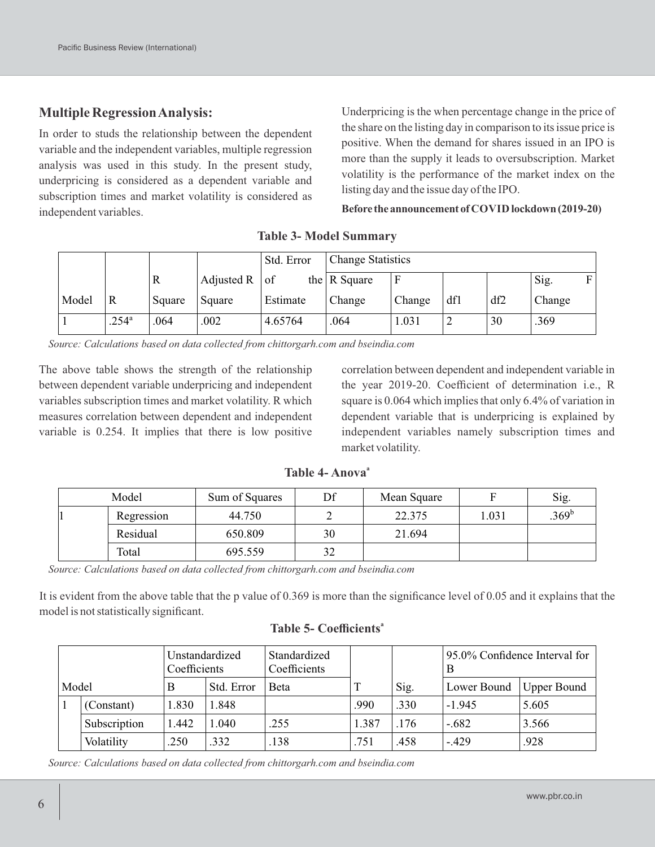### **Multiple Regression Analysis:**

In order to studs the relationship between the dependent variable and the independent variables, multiple regression analysis was used in this study. In the present study, underpricing is considered as a dependent variable and subscription times and market volatility is considered as independent variables.

Underpricing is the when percentage change in the price of the share on the listing day in comparison to its issue price is positive. When the demand for shares issued in an IPO is more than the supply it leads to oversubscription. Market volatility is the performance of the market index on the listing day and the issue day of the IPO.

Before the announcement of COVID lockdown (2019-20)

|       |                |        |                   | Std. Error | <b>Change Statistics</b> |        |     |     |        |   |
|-------|----------------|--------|-------------------|------------|--------------------------|--------|-----|-----|--------|---|
|       |                | R      | Adjusted R $ $ of |            | the $\vert$ R Square     |        |     |     | Sig.   | F |
| Model | R              | Square | Square            | Estimate   | Change                   | Change | dfl | df2 | Change |   |
|       | $.254^{\circ}$ | .064   | .002              | 4.65764    | .064                     | 1.031  | ∠   | 30  | .369   |   |

#### **Table 3- Model Summary**

*Source: Calculations based on data collected from chittorgarh.com and bseindia.com*

The above table shows the strength of the relationship between dependent variable underpricing and independent variables subscription times and market volatility. R which measures correlation between dependent and independent variable is 0.254. It implies that there is low positive

correlation between dependent and independent variable in the year 2019-20. Coefficient of determination i.e., R square is 0.064 which implies that only 6.4% of variation in dependent variable that is underpricing is explained by independent variables namely subscription times and market volatility.

| Table 4- Anova <sup>a</sup> |  |  |  |
|-----------------------------|--|--|--|
|                             |  |  |  |

| Model      | Sum of Squares | Df | Mean Square |        | Sig.              |
|------------|----------------|----|-------------|--------|-------------------|
| Regression | 44.750         |    | 22.375      | l .031 | .369 <sup>b</sup> |
| Residual   | 650.809        | 30 | 21.694      |        |                   |
| Total      | 695.559        | 32 |             |        |                   |

*Source: Calculations based on data collected from chittorgarh.com and bseindia.com*

It is evident from the above table that the p value of 0.369 is more than the significance level of 0.05 and it explains that the model is not statistically significant.

| Model |              | Unstandardized<br>Coefficients |            | Standardized<br>Coefficients |              |      | 95.0% Confidence Interval for<br>B |                    |  |  |
|-------|--------------|--------------------------------|------------|------------------------------|--------------|------|------------------------------------|--------------------|--|--|
|       |              | В                              | Std. Error | Beta                         | $\mathbf{T}$ | Sig. | Lower Bound                        | <b>Upper Bound</b> |  |  |
|       | (Constant)   | 1.830                          | 1.848      |                              | .990         | .330 | $-1.945$                           | 5.605              |  |  |
|       | Subscription | 1.442                          | 1.040      | .255                         | 1.387        | .176 | -.682                              | 3.566              |  |  |
|       | Volatility   | .250                           | .332       | .138                         | .751         | .458 | $-.429$                            | .928               |  |  |

#### **<sup>a</sup> Table 5- Coefficients**

*Source: Calculations based on data collected from chittorgarh.com and bseindia.com*

 $\mathbf{N}$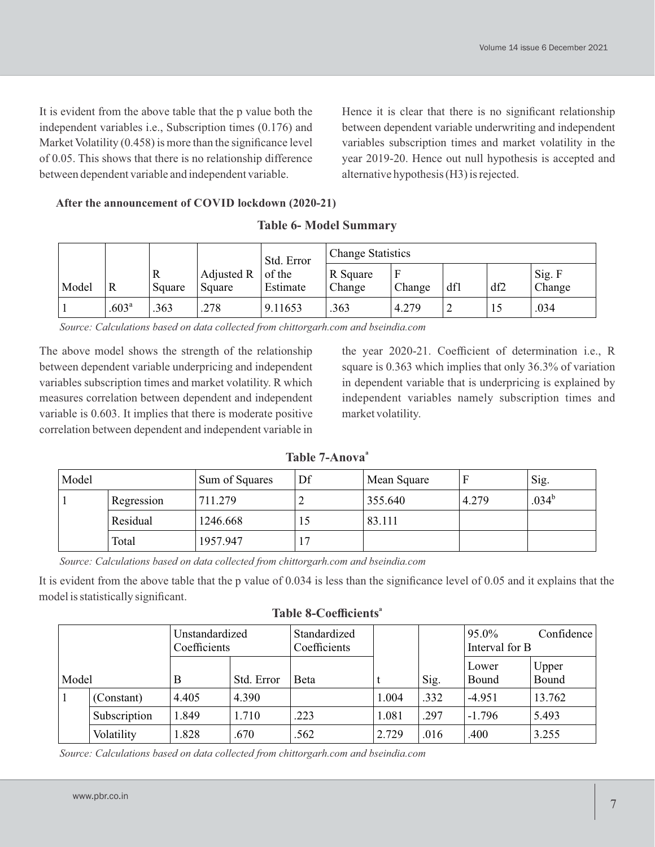It is evident from the above table that the p value both the independent variables i.e., Subscription times (0.176) and Market Volatility (0.458) is more than the significance level of 0.05. This shows that there is no relationship difference between dependent variable and independent variable.

Hence it is clear that there is no significant relationship between dependent variable underwriting and independent variables subscription times and market volatility in the year 2019-20. Hence out null hypothesis is accepted and alternative hypothesis (H3) is rejected.

#### **After the announcement of COVID lockdown (2020-21)**

|       |                   |             |                      | Std. Error         | <b>Change Statistics</b> |        |     |     |                  |  |  |
|-------|-------------------|-------------|----------------------|--------------------|--------------------------|--------|-----|-----|------------------|--|--|
| Model | R                 | R<br>Square | Adjusted R<br>Square | of the<br>Estimate | R Square<br>Change       | Change | df1 | df2 | Sig. F<br>Change |  |  |
|       | .603 <sup>a</sup> | .363        | .278                 | 9.11653            | .363                     | 4.279  | ∠   | 12  | .034             |  |  |

**Table 6- Model Summary**

*Source: Calculations based on data collected from chittorgarh.com and bseindia.com*

The above model shows the strength of the relationship between dependent variable underpricing and independent variables subscription times and market volatility. R which measures correlation between dependent and independent variable is 0.603. It implies that there is moderate positive correlation between dependent and independent variable in

the year 2020-21. Coefficient of determination i.e., R square is 0.363 which implies that only 36.3% of variation in dependent variable that is underpricing is explained by independent variables namely subscription times and market volatility.

| Model |            | Sum of Squares | Df | Mean Square |       | Sig.              |
|-------|------------|----------------|----|-------------|-------|-------------------|
|       | Regression | 711.279        | ∸  | 355.640     | 4.279 | .034 <sup>b</sup> |
|       | Residual   | 1246.668       | 10 | 83.111      |       |                   |
|       | Total      | 1957.947       |    |             |       |                   |

**<sup>a</sup> Table 7-Anova**

*Source: Calculatons based on data collected from chttorgarh.com and bsenda.com*

It is evident from the above table that the p value of 0.034 is less than the significance level of 0.05 and it explains that the model is statistically significant.

| Model        |              | Unstandardized<br>Coefficients |            | Standardized<br>Coefficients |       |      | 95.0%<br>Confidence<br>Interval for B |                |
|--------------|--------------|--------------------------------|------------|------------------------------|-------|------|---------------------------------------|----------------|
|              |              | В                              | Std. Error | <b>B</b> eta                 |       | Sig. | Lower<br>Bound                        | Upper<br>Bound |
| $\mathbf{1}$ | (Constant)   | 4.405                          | 4.390      |                              | 1.004 | .332 | $-4.951$                              | 13.762         |
|              | Subscription | .849                           | 1.710      | .223                         | 1.081 | .297 | $-1.796$                              | 5.493          |
|              | Volatility   | .828                           | .670       | .562                         | 2.729 | .016 | .400                                  | 3.255          |

**<sup>a</sup> Table 8-Coefficients**

*Source: Calculations based on data collected from chittorgarh.com and bseindia.com*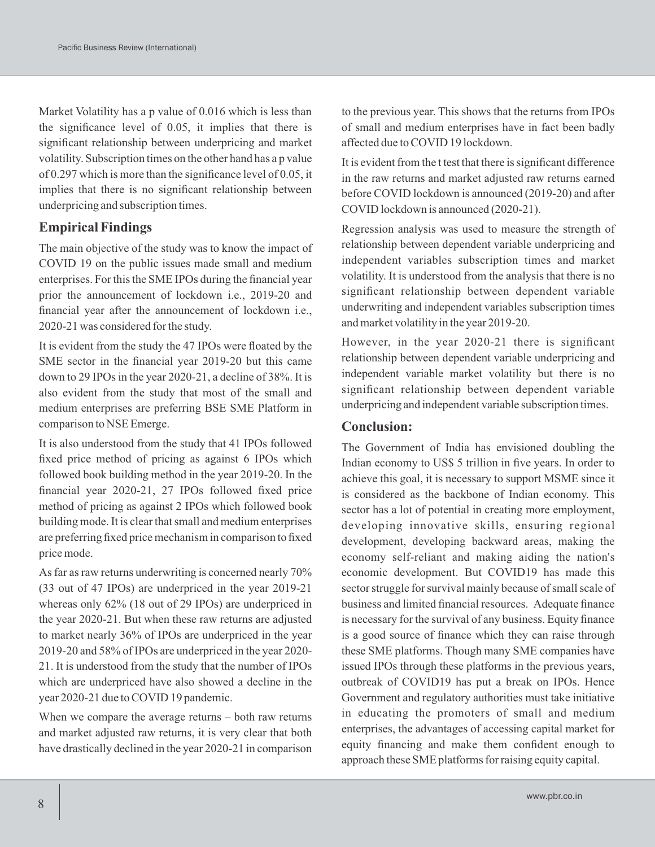Market Volatility has a p value of 0.016 which is less than the significance level of 0.05, it implies that there is significant relationship between underpricing and market volatility. Subscription times on the other hand has a p value of 0.297 which is more than the significance level of 0.05, it implies that there is no significant relationship between underpricing and subscription times.

### **Empirical Findings**

The main objective of the study was to know the impact of COVID 19 on the public issues made small and medium enterprises. For this the SME IPOs during the financial year prior the announcement of lockdown i.e., 2019-20 and financial year after the announcement of lockdown i.e., 2020-21 was considered for the study.

It is evident from the study the 47 IPOs were floated by the SME sector in the financial year 2019-20 but this came down to 29 IPOs in the year 2020-21, a decline of 38%. It is also evident from the study that most of the small and medium enterprises are preferring BSE SME Platform in comparison to NSE Emerge.

It is also understood from the study that 41 IPOs followed fixed price method of pricing as against 6 IPOs which followed book building method in the year 2019-20. In the financial year 2020-21, 27 IPOs followed fixed price method of pricing as against 2 IPOs which followed book building mode. It is clear that small and medium enterprises are preferring fixed price mechanism in comparison to fixed price mode.

As far as raw returns underwriting is concerned nearly 70% (33 out of 47 IPOs) are underpriced in the year 2019-21 whereas only 62% (18 out of 29 IPOs) are underpriced in the year 2020-21. But when these raw returns are adjusted to market nearly 36% of IPOs are underpriced in the year 2019-20 and 58% of IPOs are underpriced in the year 2020- 21. It is understood from the study that the number of IPOs which are underpriced have also showed a decline in the year 2020-21 due to COVID 19 pandemic.

When we compare the average returns – both raw returns and market adjusted raw returns, it is very clear that both have drastically declined in the year 2020-21 in comparison to the previous year. This shows that the returns from IPOs of small and medium enterprises have in fact been badly affected due to COVID 19 lockdown.

It is evident from the t test that there is significant difference in the raw returns and market adjusted raw returns earned before COVID lockdown is announced (2019-20) and after COVID lockdown is announced (2020-21).

Regression analysis was used to measure the strength of relationship between dependent variable underpricing and independent variables subscription times and market volatility. It is understood from the analysis that there is no significant relationship between dependent variable underwriting and independent variables subscription times and market volatility in the year 2019-20.

However, in the year 2020-21 there is significant relationship between dependent variable underpricing and independent variable market volatility but there is no significant relationship between dependent variable underpricing and independent variable subscription times.

#### **Conclusion:**

The Government of India has envisioned doubling the Indian economy to US\$ 5 trillion in five years. In order to achieve this goal, it is necessary to support MSME since it is considered as the backbone of Indian economy. This sector has a lot of potential in creating more employment, developing innovative skills, ensuring regional development, developing backward areas, making the economy self-reliant and making aiding the nation's economic development. But COVID19 has made this sector struggle for survival mainly because of small scale of business and limited financial resources. Adequate finance is necessary for the survival of any business. Equity finance is a good source of finance which they can raise through these SME platforms. Though many SME companies have issued IPOs through these platforms in the previous years, outbreak of COVID19 has put a break on IPOs. Hence Government and regulatory authorities must take initiative in educating the promoters of small and medium enterprises, the advantages of accessing capital market for equity financing and make them confident enough to approach these SME platforms for raising equity capital.